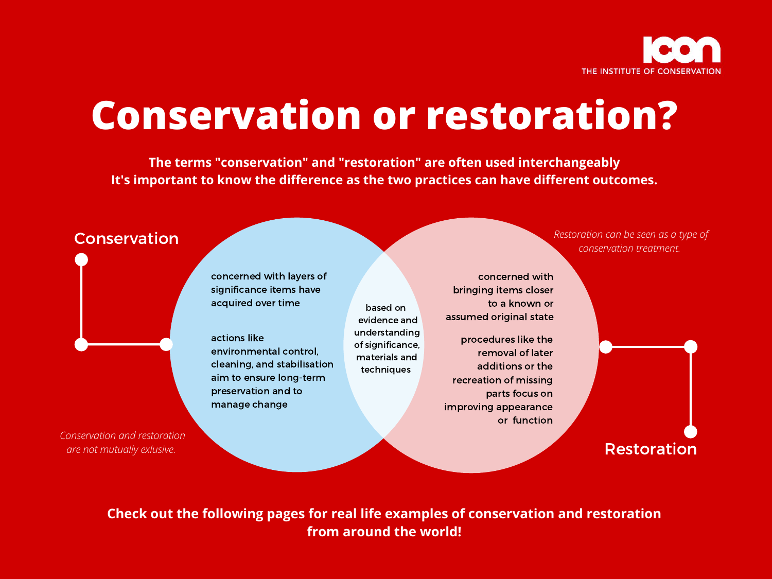# **Conservation or restoration?**

#### Conservation



**The terms "conservation" and "restoration" are often used interchangeably It's important to know the difference as the two practices can have different outcomes.**

**Check out the following pages for real life examples of conservation and restoration from around the world!**



based on evidence and understanding of significance, materials and techniques

Restoration

*Conservation and restoration are not mutually exlusive.*

*Restoration can be seen as a type of conservation treatment.*

actions like environmental control, cleaning, and stabilisation aim to ensure long-term preservation and to manage change

concerned with layers of significance items have acquired over time

> procedures like the removal of later additions or the recreation of missing parts focus on improving appearance or function

> concerned with bringing items closer to a known or assumed original state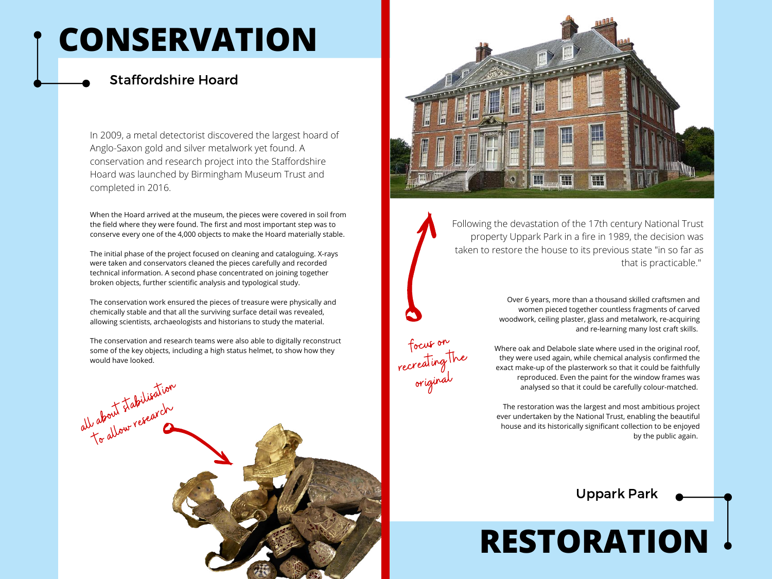Following the devastation of the 17th century National Trust property Uppark Park in a fire in 1989, the decision was taken to restore the house to its previous state "in so far as that is practicable."





focus on recreating the original

When the Hoard arrived at the museum, the pieces were covered in soil from the field where they were found. The first and most important step was to conserve every one of the 4,000 objects to make the Hoard materially stable.

The initial phase of the project focused on cleaning and cataloguing. X-rays were taken and conservators cleaned the pieces carefully and recorded technical information. A second phase concentrated on joining together broken objects, further scientific analysis and typological study.

The conservation work ensured the pieces of treasure were physically and chemically stable and that all the surviving surface detail was revealed, allowing scientists, archaeologists and historians to study the material.

The conservation and research teams were also able to digitally reconstruct some of the key objects, including a high status helmet, to show how they would have looked.

In 2009, a metal detectorist discovered the largest hoard of Anglo-Saxon gold and silver metalwork yet found. A conservation and research project into the Staffordshire Hoard was launched by Birmingham Museum Trust and completed in 2016.

# **RESTORATION**

# **CONSERVATION**

Over 6 years, more than a thousand skilled craftsmen and women pieced together countless fragments of carved woodwork, ceiling plaster, glass and metalwork, re-acquiring and re-learning many lost craft skills.

Where oak and Delabole slate where used in the original roof, they were used again, while chemical analysis confirmed the exact make-up of the plasterwork so that it could be faithfully reproduced. Even the paint for the window frames was analysed so that it could be carefully colour-matched.

The restoration was the largest and most ambitious project ever undertaken by the National Trust, enabling the beautiful house and its historically significant collection to be enjoyed by the public again.

Uppark Park

#### Staffordshire Hoard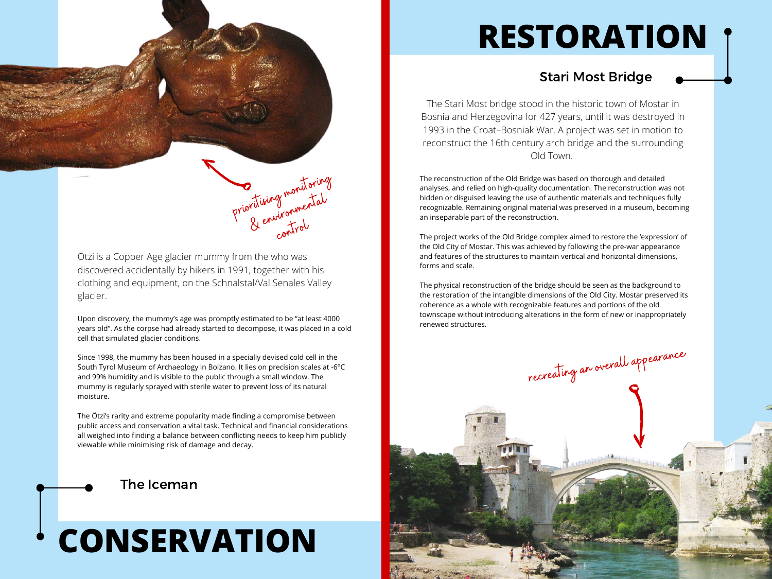

Ötzi is a Copper Age glacier mummy from the who was discovered accidentally by hikers in 1991, together with his clothing and equipment, on the Schnalstal/Val Senales Valley glacier.

recreating an overall appearance

Upon discovery, the mummy's age was promptly estimated to be "at least 4000 years old". As the corpse had already started to decompose, it was placed in a cold cell that simulated glacier conditions.

Since 1998, the mummy has been housed in a specially devised cold cell in the South Tyrol Museum of Archaeology in Bolzano. It lies on precision scales at -6°C and 99% humidity and is visible to the public through a small window. The mummy is regularly sprayed with sterile water to prevent loss of its natural moisture.

The Ötzi's rarity and extreme popularity made finding a compromise between public access and conservation a vital task. Technical and financial considerations all weighed into finding a balance between conflicting needs to keep him publicly viewable while minimising risk of damage and decay.

#### The Iceman

#### Stari Most Bridge

The reconstruction of the Old Bridge was based on thorough and detailed analyses, and relied on high-quality documentation. The reconstruction was not hidden or disguised leaving the use of authentic materials and techniques fully recognizable. Remaining original material was preserved in a museum, becoming an inseparable part of the reconstruction.

The project works of the Old Bridge complex aimed to restore the 'expression' of the Old City of Mostar. This was achieved by following the pre-war appearance and features of the structures to maintain vertical and horizontal dimensions, forms and scale.

The physical reconstruction of the bridge should be seen as the background to the restoration of the intangible dimensions of the Old City. Mostar preserved its coherence as a whole with recognizable features and portions of the old townscape without introducing alterations in the form of new or inappropriately renewed structures.

The Stari Most bridge stood in the historic town of Mostar in Bosnia and Herzegovina for 427 years, until it was destroyed in 1993 in the Croat–Bosniak War. A project was set in motion to reconstruct the 16th century arch bridge and the surrounding Old Town.

# **RESTORATION**

## **CONSERVATION**